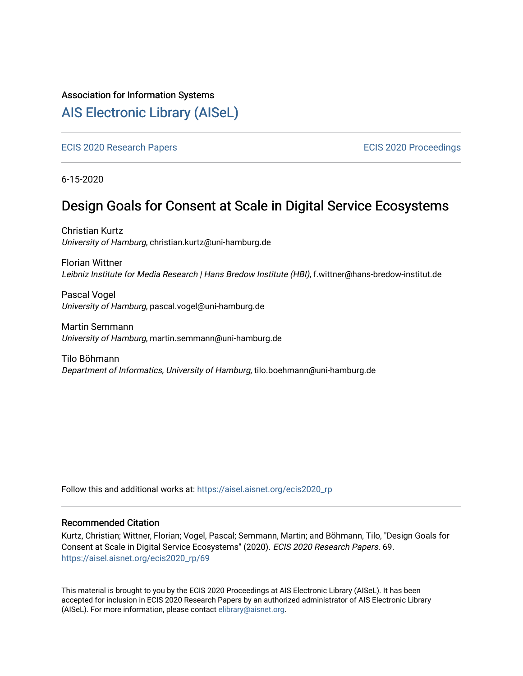#### Association for Information Systems

# [AIS Electronic Library \(AISeL\)](https://aisel.aisnet.org/)

[ECIS 2020 Research Papers](https://aisel.aisnet.org/ecis2020_rp) [ECIS 2020 Proceedings](https://aisel.aisnet.org/ecis2020) 

6-15-2020

# Design Goals for Consent at Scale in Digital Service Ecosystems

Christian Kurtz University of Hamburg, christian.kurtz@uni-hamburg.de

Florian Wittner Leibniz Institute for Media Research | Hans Bredow Institute (HBI), f.wittner@hans-bredow-institut.de

Pascal Vogel University of Hamburg, pascal.vogel@uni-hamburg.de

Martin Semmann University of Hamburg, martin.semmann@uni-hamburg.de

Tilo Böhmann Department of Informatics, University of Hamburg, tilo.boehmann@uni-hamburg.de

Follow this and additional works at: [https://aisel.aisnet.org/ecis2020\\_rp](https://aisel.aisnet.org/ecis2020_rp?utm_source=aisel.aisnet.org%2Fecis2020_rp%2F69&utm_medium=PDF&utm_campaign=PDFCoverPages)

#### Recommended Citation

Kurtz, Christian; Wittner, Florian; Vogel, Pascal; Semmann, Martin; and Böhmann, Tilo, "Design Goals for Consent at Scale in Digital Service Ecosystems" (2020). ECIS 2020 Research Papers. 69. [https://aisel.aisnet.org/ecis2020\\_rp/69](https://aisel.aisnet.org/ecis2020_rp/69?utm_source=aisel.aisnet.org%2Fecis2020_rp%2F69&utm_medium=PDF&utm_campaign=PDFCoverPages) 

This material is brought to you by the ECIS 2020 Proceedings at AIS Electronic Library (AISeL). It has been accepted for inclusion in ECIS 2020 Research Papers by an authorized administrator of AIS Electronic Library (AISeL). For more information, please contact [elibrary@aisnet.org](mailto:elibrary@aisnet.org%3E).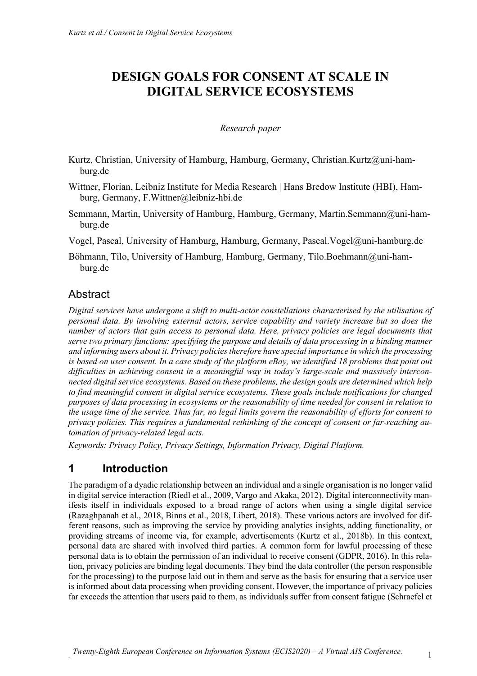# **DESIGN GOALS FOR CONSENT AT SCALE IN DIGITAL SERVICE ECOSYSTEMS**

#### *Research paper*

- Kurtz, Christian, University of Hamburg, Hamburg, Germany, Christian.Kurtz@uni-hamburg.de
- Wittner, Florian, Leibniz Institute for Media Research | Hans Bredow Institute (HBI), Hamburg, Germany, F.Wittner@leibniz-hbi.de
- Semmann, Martin, University of Hamburg, Hamburg, Germany, Martin.Semmann@uni-hamburg.de

Vogel, Pascal, University of Hamburg, Hamburg, Germany, Pascal.Vogel@uni-hamburg.de

Böhmann, Tilo, University of Hamburg, Hamburg, Germany, Tilo.Boehmann@uni-hamburg.de

## Abstract

*Digital services have undergone a shift to multi-actor constellations characterised by the utilisation of personal data. By involving external actors, service capability and variety increase but so does the number of actors that gain access to personal data. Here, privacy policies are legal documents that serve two primary functions: specifying the purpose and details of data processing in a binding manner and informing users about it. Privacy policiestherefore have special importance in which the processing is based on user consent. In a case study of the platform eBay, we identified 18 problems that point out difficulties in achieving consent in a meaningful way in today's large-scale and massively interconnected digital service ecosystems. Based on these problems, the design goals are determined which help to find meaningful consent in digital service ecosystems. These goals include notifications for changed purposes of data processing in ecosystems or the reasonability of time needed for consent in relation to the usage time of the service. Thus far, no legal limits govern the reasonability of efforts for consent to privacy policies. This requires a fundamental rethinking of the concept of consent or far-reaching automation of privacy-related legal acts.* 

*Keywords: Privacy Policy, Privacy Settings, Information Privacy, Digital Platform.* 

# **1 Introduction**

The paradigm of a dyadic relationship between an individual and a single organisation is no longer valid in digital service interaction (Riedl et al., 2009, Vargo and Akaka, 2012). Digital interconnectivity manifests itself in individuals exposed to a broad range of actors when using a single digital service (Razaghpanah et al., 2018, Binns et al., 2018, Libert, 2018). These various actors are involved for different reasons, such as improving the service by providing analytics insights, adding functionality, or providing streams of income via, for example, advertisements (Kurtz et al., 2018b). In this context, personal data are shared with involved third parties. A common form for lawful processing of these personal data is to obtain the permission of an individual to receive consent (GDPR, 2016). In this relation, privacy policies are binding legal documents. They bind the data controller (the person responsible for the processing) to the purpose laid out in them and serve as the basis for ensuring that a service user is informed about data processing when providing consent. However, the importance of privacy policies far exceeds the attention that users paid to them, as individuals suffer from consent fatigue (Schraefel et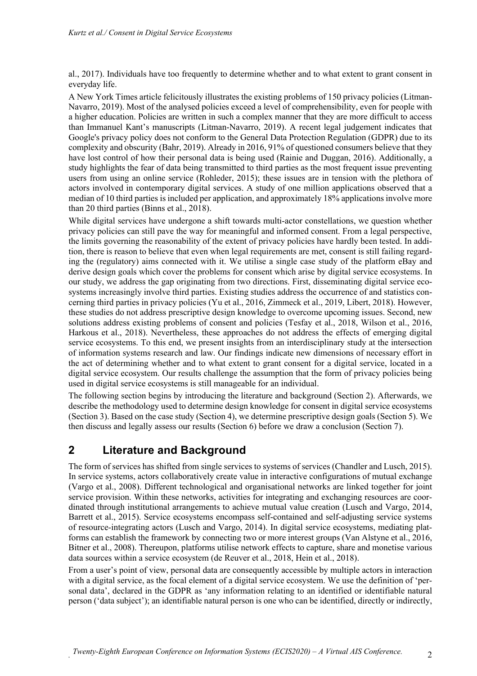al., 2017). Individuals have too frequently to determine whether and to what extent to grant consent in everyday life.

A New York Times article felicitously illustrates the existing problems of 150 privacy policies (Litman-Navarro, 2019). Most of the analysed policies exceed a level of comprehensibility, even for people with a higher education. Policies are written in such a complex manner that they are more difficult to access than Immanuel Kant's manuscripts (Litman-Navarro, 2019). A recent legal judgement indicates that Google's privacy policy does not conform to the General Data Protection Regulation (GDPR) due to its complexity and obscurity (Bahr, 2019). Already in 2016, 91% of questioned consumers believe that they have lost control of how their personal data is being used (Rainie and Duggan, 2016). Additionally, a study highlights the fear of data being transmitted to third parties as the most frequent issue preventing users from using an online service (Rohleder, 2015); these issues are in tension with the plethora of actors involved in contemporary digital services. A study of one million applications observed that a median of 10 third parties is included per application, and approximately 18% applications involve more than 20 third parties (Binns et al., 2018).

While digital services have undergone a shift towards multi-actor constellations, we question whether privacy policies can still pave the way for meaningful and informed consent. From a legal perspective, the limits governing the reasonability of the extent of privacy policies have hardly been tested. In addition, there is reason to believe that even when legal requirements are met, consent is still failing regarding the (regulatory) aims connected with it. We utilise a single case study of the platform eBay and derive design goals which cover the problems for consent which arise by digital service ecosystems. In our study, we address the gap originating from two directions. First, disseminating digital service ecosystems increasingly involve third parties. Existing studies address the occurrence of and statistics concerning third parties in privacy policies (Yu et al., 2016, Zimmeck et al., 2019, Libert, 2018). However, these studies do not address prescriptive design knowledge to overcome upcoming issues. Second, new solutions address existing problems of consent and policies (Tesfay et al., 2018, Wilson et al., 2016, Harkous et al., 2018). Nevertheless, these approaches do not address the effects of emerging digital service ecosystems. To this end, we present insights from an interdisciplinary study at the intersection of information systems research and law. Our findings indicate new dimensions of necessary effort in the act of determining whether and to what extent to grant consent for a digital service, located in a digital service ecosystem. Our results challenge the assumption that the form of privacy policies being used in digital service ecosystems is still manageable for an individual.

The following section begins by introducing the literature and background (Section 2). Afterwards, we describe the methodology used to determine design knowledge for consent in digital service ecosystems (Section 3). Based on the case study (Section 4), we determine prescriptive design goals (Section 5). We then discuss and legally assess our results (Section 6) before we draw a conclusion (Section 7).

# **2 Literature and Background**

The form of services has shifted from single services to systems of services (Chandler and Lusch, 2015). In service systems, actors collaboratively create value in interactive configurations of mutual exchange (Vargo et al., 2008). Different technological and organisational networks are linked together for joint service provision. Within these networks, activities for integrating and exchanging resources are coordinated through institutional arrangements to achieve mutual value creation (Lusch and Vargo, 2014, Barrett et al., 2015). Service ecosystems encompass self-contained and self-adjusting service systems of resource-integrating actors (Lusch and Vargo, 2014). In digital service ecosystems, mediating platforms can establish the framework by connecting two or more interest groups (Van Alstyne et al., 2016, Bitner et al., 2008). Thereupon, platforms utilise network effects to capture, share and monetise various data sources within a service ecosystem (de Reuver et al., 2018, Hein et al., 2018).

From a user's point of view, personal data are consequently accessible by multiple actors in interaction with a digital service, as the focal element of a digital service ecosystem. We use the definition of 'personal data', declared in the GDPR as 'any information relating to an identified or identifiable natural person ('data subject'); an identifiable natural person is one who can be identified, directly or indirectly,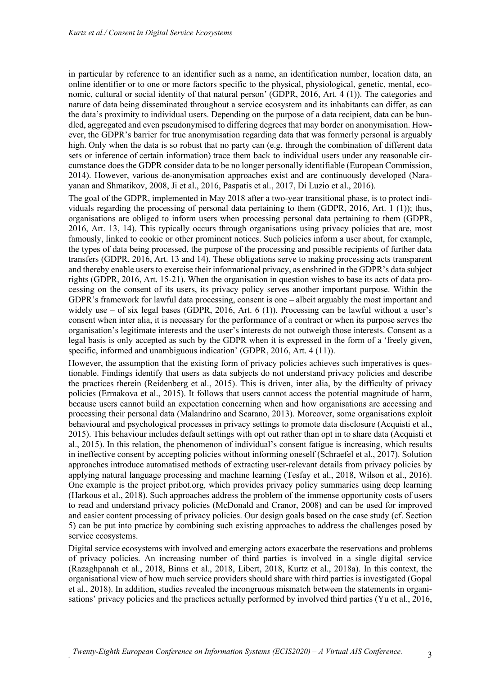in particular by reference to an identifier such as a name, an identification number, location data, an online identifier or to one or more factors specific to the physical, physiological, genetic, mental, economic, cultural or social identity of that natural person' (GDPR, 2016, Art. 4 (1)). The categories and nature of data being disseminated throughout a service ecosystem and its inhabitants can differ, as can the data's proximity to individual users. Depending on the purpose of a data recipient, data can be bundled, aggregated and even pseudonymised to differing degrees that may border on anonymisation. However, the GDPR's barrier for true anonymisation regarding data that was formerly personal is arguably high. Only when the data is so robust that no party can (e.g. through the combination of different data sets or inference of certain information) trace them back to individual users under any reasonable circumstance does the GDPR consider data to be no longer personally identifiable (European Commission, 2014). However, various de-anonymisation approaches exist and are continuously developed (Narayanan and Shmatikov, 2008, Ji et al., 2016, Paspatis et al., 2017, Di Luzio et al., 2016).

The goal of the GDPR, implemented in May 2018 after a two-year transitional phase, is to protect individuals regarding the processing of personal data pertaining to them (GDPR, 2016, Art. 1 (1)); thus, organisations are obliged to inform users when processing personal data pertaining to them (GDPR, 2016, Art. 13, 14). This typically occurs through organisations using privacy policies that are, most famously, linked to cookie or other prominent notices. Such policies inform a user about, for example, the types of data being processed, the purpose of the processing and possible recipients of further data transfers (GDPR, 2016, Art. 13 and 14). These obligations serve to making processing acts transparent and thereby enable users to exercise their informational privacy, as enshrined in the GDPR's data subject rights (GDPR, 2016, Art. 15-21). When the organisation in question wishes to base its acts of data processing on the consent of its users, its privacy policy serves another important purpose. Within the GDPR's framework for lawful data processing, consent is one – albeit arguably the most important and widely use – of six legal bases (GDPR, 2016, Art. 6 (1)). Processing can be lawful without a user's consent when inter alia, it is necessary for the performance of a contract or when its purpose serves the organisation's legitimate interests and the user's interests do not outweigh those interests. Consent as a legal basis is only accepted as such by the GDPR when it is expressed in the form of a 'freely given, specific, informed and unambiguous indication' (GDPR, 2016, Art. 4 (11)).

However, the assumption that the existing form of privacy policies achieves such imperatives is questionable. Findings identify that users as data subjects do not understand privacy policies and describe the practices therein (Reidenberg et al., 2015). This is driven, inter alia, by the difficulty of privacy policies (Ermakova et al., 2015). It follows that users cannot access the potential magnitude of harm, because users cannot build an expectation concerning when and how organisations are accessing and processing their personal data (Malandrino and Scarano, 2013). Moreover, some organisations exploit behavioural and psychological processes in privacy settings to promote data disclosure (Acquisti et al., 2015). This behaviour includes default settings with opt out rather than opt in to share data (Acquisti et al., 2015). In this relation, the phenomenon of individual's consent fatigue is increasing, which results in ineffective consent by accepting policies without informing oneself (Schraefel et al., 2017). Solution approaches introduce automatised methods of extracting user-relevant details from privacy policies by applying natural language processing and machine learning (Tesfay et al., 2018, Wilson et al., 2016). One example is the project pribot.org, which provides privacy policy summaries using deep learning (Harkous et al., 2018). Such approaches address the problem of the immense opportunity costs of users to read and understand privacy policies (McDonald and Cranor, 2008) and can be used for improved and easier content processing of privacy policies. Our design goals based on the case study (cf. Section 5) can be put into practice by combining such existing approaches to address the challenges posed by service ecosystems.

Digital service ecosystems with involved and emerging actors exacerbate the reservations and problems of privacy policies. An increasing number of third parties is involved in a single digital service (Razaghpanah et al., 2018, Binns et al., 2018, Libert, 2018, Kurtz et al., 2018a). In this context, the organisational view of how much service providers should share with third parties is investigated (Gopal et al., 2018). In addition, studies revealed the incongruous mismatch between the statements in organisations' privacy policies and the practices actually performed by involved third parties (Yu et al., 2016,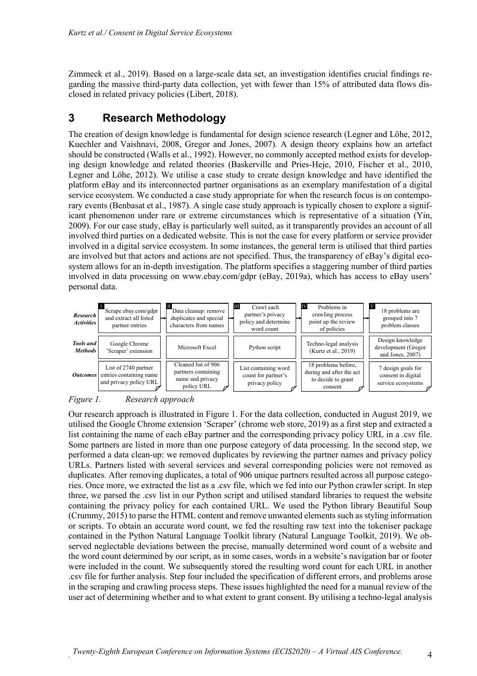Zimmeck et al., 2019). Based on a large-scale data set, an investigation identifies crucial findings regarding the massive third-party data collection, yet with fewer than 15% of attributed data flows disclosed in related privacy policies (Libert, 2018).

### **3 Research Methodology**

The creation of design knowledge is fundamental for design science research (Legner and Löhe, 2012, Kuechler and Vaishnavi, 2008, Gregor and Jones, 2007). A design theory explains how an artefact should be constructed (Walls et al., 1992). However, no commonly accepted method exists for developing design knowledge and related theories (Baskerville and Pries-Heje, 2010, Fischer et al., 2010, Legner and Löhe, 2012). We utilise a case study to create design knowledge and have identified the platform eBay and its interconnected partner organisations as an exemplary manifestation of a digital service ecosystem. We conducted a case study appropriate for when the research focus is on contemporary events (Benbasat et al., 1987). A single case study approach is typically chosen to explore a significant phenomenon under rare or extreme circumstances which is representative of a situation (Yin, 2009). For our case study, eBay is particularly well suited, as it transparently provides an account of all involved third parties on a dedicated website. This is not the case for every platform or service provider involved in a digital service ecosystem. In some instances, the general term is utilised that third parties are involved but that actors and actions are not specified. Thus, the transparency of eBay's digital ecosystem allows for an in-depth investigation. The platform specifies a staggering number of third parties involved in data processing on www.ebay.com/gdpr (eBay, 2019a), which has access to eBay users' personal data.



*Figure 1. Research approach*

Our research approach is illustrated in Figure 1. For the data collection, conducted in August 2019, we utilised the Google Chrome extension 'Scraper' (chrome web store, 2019) as a first step and extracted a list containing the name of each eBay partner and the corresponding privacy policy URL in a .csv file. Some partners are listed in more than one purpose category of data processing. In the second step, we performed a data clean-up: we removed duplicates by reviewing the partner names and privacy policy URLs. Partners listed with several services and several corresponding policies were not removed as duplicates. After removing duplicates, a total of 906 unique partners resulted across all purpose categories. Once more, we extracted the list as a .csv file, which we fed into our Python crawler script. In step three, we parsed the .csv list in our Python script and utilised standard libraries to request the website containing the privacy policy for each contained URL. We used the Python library Beautiful Soup (Crummy, 2015) to parse the HTML content and remove unwanted elements such as styling information or scripts. To obtain an accurate word count, we fed the resulting raw text into the tokeniser package contained in the Python Natural Language Toolkit library (Natural Language Toolkit, 2019). We observed neglectable deviations between the precise, manually determined word count of a website and the word count determined by our script, as in some cases, words in a website's navigation bar or footer were included in the count. We subsequently stored the resulting word count for each URL in another .csv file for further analysis. Step four included the specification of different errors, and problems arose in the scraping and crawling process steps. These issues highlighted the need for a manual review of the user act of determining whether and to what extent to grant consent. By utilising a techno-legal analysis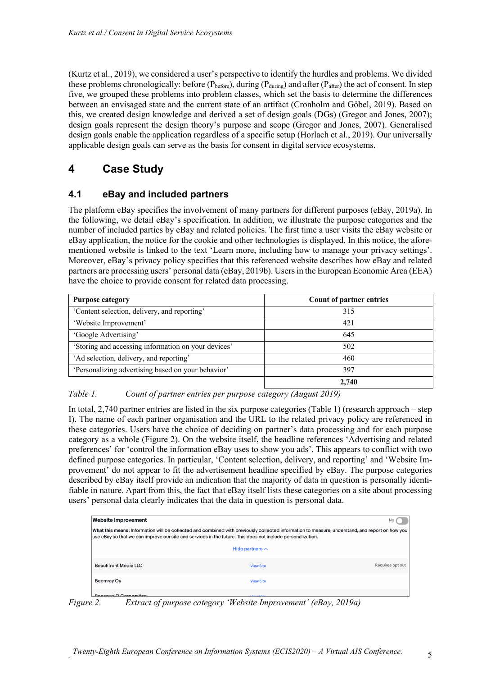(Kurtz et al., 2019), we considered a user's perspective to identify the hurdles and problems. We divided these problems chronologically: before  $(P_{before})$ , during  $(P_{during})$  and after  $(P_{after})$  the act of consent. In step five, we grouped these problems into problem classes, which set the basis to determine the differences between an envisaged state and the current state of an artifact (Cronholm and Göbel, 2019). Based on this, we created design knowledge and derived a set of design goals (DGs) (Gregor and Jones, 2007); design goals represent the design theory's purpose and scope (Gregor and Jones, 2007). Generalised design goals enable the application regardless of a specific setup (Horlach et al., 2019). Our universally applicable design goals can serve as the basis for consent in digital service ecosystems.

# **4 Case Study**

### **4.1 eBay and included partners**

The platform eBay specifies the involvement of many partners for different purposes (eBay, 2019a). In the following, we detail eBay's specification. In addition, we illustrate the purpose categories and the number of included parties by eBay and related policies. The first time a user visits the eBay website or eBay application, the notice for the cookie and other technologies is displayed. In this notice, the aforementioned website is linked to the text 'Learn more, including how to manage your privacy settings'. Moreover, eBay's privacy policy specifies that this referenced website describes how eBay and related partners are processing users' personal data (eBay, 2019b). Users in the European Economic Area (EEA) have the choice to provide consent for related data processing.

| <b>Purpose category</b>                             | <b>Count of partner entries</b> |  |  |
|-----------------------------------------------------|---------------------------------|--|--|
| 'Content selection, delivery, and reporting'        | 315                             |  |  |
| 'Website Improvement'                               | 42.1                            |  |  |
| 'Google Advertising'                                | 645                             |  |  |
| 'Storing and accessing information on your devices' | 502                             |  |  |
| 'Ad selection, delivery, and reporting'             | 460                             |  |  |
| 'Personalizing advertising based on your behavior'  | 397                             |  |  |
|                                                     | 2.740                           |  |  |

#### *Table 1. Count of partner entries per purpose category (August 2019)*

In total, 2,740 partner entries are listed in the six purpose categories (Table 1) (research approach – step I). The name of each partner organisation and the URL to the related privacy policy are referenced in these categories. Users have the choice of deciding on partner's data processing and for each purpose category as a whole (Figure 2). On the website itself, the headline references 'Advertising and related preferences' for 'control the information eBay uses to show you ads'. This appears to conflict with two defined purpose categories. In particular, 'Content selection, delivery, and reporting' and 'Website Improvement' do not appear to fit the advertisement headline specified by eBay. The purpose categories described by eBay itself provide an indication that the majority of data in question is personally identifiable in nature. Apart from this, the fact that eBay itself lists these categories on a site about processing users' personal data clearly indicates that the data in question is personal data.

| <b>Website Improvement</b>                                                                                                                                                                                                                                     |                        |                  |  |
|----------------------------------------------------------------------------------------------------------------------------------------------------------------------------------------------------------------------------------------------------------------|------------------------|------------------|--|
| What this means: Information will be collected and combined with previously collected information to measure, understand, and report on how you<br>use eBay so that we can improve our site and services in the future. This does not include personalization. |                        |                  |  |
|                                                                                                                                                                                                                                                                | Hide partners $\wedge$ |                  |  |
| Beachfront Media LLC                                                                                                                                                                                                                                           | <b>View Site</b>       | Requires opt out |  |
| Beemray Oy                                                                                                                                                                                                                                                     | <b>View Site</b>       |                  |  |
| <b>BecausedO</b> Corporation                                                                                                                                                                                                                                   | $10 - 100$             |                  |  |

*Figure 2. Extract of purpose category 'Website Improvement' (eBay, 2019a)*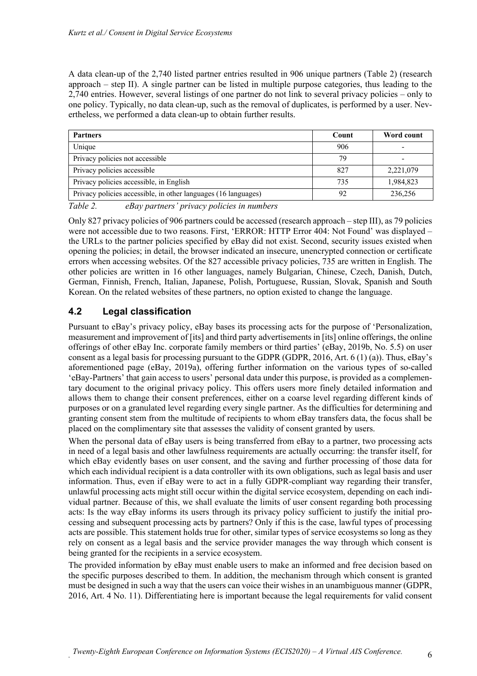A data clean-up of the 2,740 listed partner entries resulted in 906 unique partners (Table 2) (research approach – step II). A single partner can be listed in multiple purpose categories, thus leading to the 2,740 entries. However, several listings of one partner do not link to several privacy policies – only to one policy. Typically, no data clean-up, such as the removal of duplicates, is performed by a user. Nevertheless, we performed a data clean-up to obtain further results.

| <b>Partners</b>                                                | Count | Word count |
|----------------------------------------------------------------|-------|------------|
| Unique                                                         | 906   |            |
| Privacy policies not accessible                                | 79    |            |
| Privacy policies accessible                                    | 827   | 2,221,079  |
| Privacy policies accessible, in English                        | 735   | 1,984,823  |
| Privacy policies accessible, in other languages (16 languages) | 92    | 236,256    |

*Table 2. eBay partners' privacy policies in numbers*

Only 827 privacy policies of 906 partners could be accessed (research approach – step III), as 79 policies were not accessible due to two reasons. First, 'ERROR: HTTP Error 404: Not Found' was displayed – the URLs to the partner policies specified by eBay did not exist. Second, security issues existed when opening the policies; in detail, the browser indicated an insecure, unencrypted connection or certificate errors when accessing websites. Of the 827 accessible privacy policies, 735 are written in English. The other policies are written in 16 other languages, namely Bulgarian, Chinese, Czech, Danish, Dutch, German, Finnish, French, Italian, Japanese, Polish, Portuguese, Russian, Slovak, Spanish and South Korean. On the related websites of these partners, no option existed to change the language.

### **4.2 Legal classification**

Pursuant to eBay's privacy policy, eBay bases its processing acts for the purpose of 'Personalization, measurement and improvement of [its] and third party advertisements in [its] online offerings, the online offerings of other eBay Inc. corporate family members or third parties' (eBay, 2019b, No. 5.5) on user consent as a legal basis for processing pursuant to the GDPR (GDPR, 2016, Art. 6 (1) (a)). Thus, eBay's aforementioned page (eBay, 2019a), offering further information on the various types of so-called 'eBay-Partners' that gain access to users' personal data under this purpose, is provided as a complementary document to the original privacy policy. This offers users more finely detailed information and allows them to change their consent preferences, either on a coarse level regarding different kinds of purposes or on a granulated level regarding every single partner. As the difficulties for determining and granting consent stem from the multitude of recipients to whom eBay transfers data, the focus shall be placed on the complimentary site that assesses the validity of consent granted by users.

When the personal data of eBay users is being transferred from eBay to a partner, two processing acts in need of a legal basis and other lawfulness requirements are actually occurring: the transfer itself, for which eBay evidently bases on user consent, and the saving and further processing of those data for which each individual recipient is a data controller with its own obligations, such as legal basis and user information. Thus, even if eBay were to act in a fully GDPR-compliant way regarding their transfer, unlawful processing acts might still occur within the digital service ecosystem, depending on each individual partner. Because of this, we shall evaluate the limits of user consent regarding both processing acts: Is the way eBay informs its users through its privacy policy sufficient to justify the initial processing and subsequent processing acts by partners? Only if this is the case, lawful types of processing acts are possible. This statement holds true for other, similar types of service ecosystems so long as they rely on consent as a legal basis and the service provider manages the way through which consent is being granted for the recipients in a service ecosystem.

The provided information by eBay must enable users to make an informed and free decision based on the specific purposes described to them. In addition, the mechanism through which consent is granted must be designed in such a way that the users can voice their wishes in an unambiguous manner (GDPR, 2016, Art. 4 No. 11). Differentiating here is important because the legal requirements for valid consent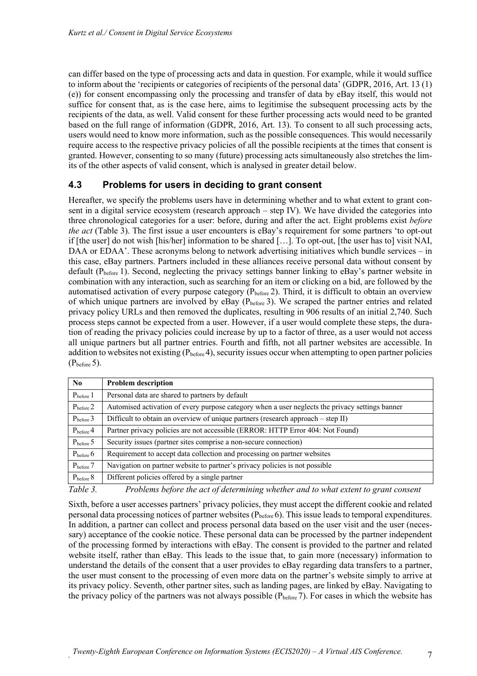can differ based on the type of processing acts and data in question. For example, while it would suffice to inform about the 'recipients or categories of recipients of the personal data' (GDPR, 2016, Art. 13 (1) (e)) for consent encompassing only the processing and transfer of data by eBay itself, this would not suffice for consent that, as is the case here, aims to legitimise the subsequent processing acts by the recipients of the data, as well. Valid consent for these further processing acts would need to be granted based on the full range of information (GDPR, 2016, Art. 13). To consent to all such processing acts, users would need to know more information, such as the possible consequences. This would necessarily require access to the respective privacy policies of all the possible recipients at the times that consent is granted. However, consenting to so many (future) processing acts simultaneously also stretches the limits of the other aspects of valid consent, which is analysed in greater detail below.

#### **4.3 Problems for users in deciding to grant consent**

Hereafter, we specify the problems users have in determining whether and to what extent to grant consent in a digital service ecosystem (research approach – step IV). We have divided the categories into three chronological categories for a user: before, during and after the act. Eight problems exist *before the act* (Table 3). The first issue a user encounters is eBay's requirement for some partners 'to opt-out if [the user] do not wish [his/her] information to be shared […]. To opt-out, [the user has to] visit NAI, DAA or EDAA'. These acronyms belong to network advertising initiatives which bundle services – in this case, eBay partners. Partners included in these alliances receive personal data without consent by default (P<sub>before</sub> 1). Second, neglecting the privacy settings banner linking to eBay's partner website in combination with any interaction, such as searching for an item or clicking on a bid, are followed by the automatised activation of every purpose category (Pbefore 2). Third, it is difficult to obtain an overview of which unique partners are involved by eBay ( $P_{before}$ 3). We scraped the partner entries and related privacy policy URLs and then removed the duplicates, resulting in 906 results of an initial 2,740. Such process steps cannot be expected from a user. However, if a user would complete these steps, the duration of reading the privacy policies could increase by up to a factor of three, as a user would not access all unique partners but all partner entries. Fourth and fifth, not all partner websites are accessible. In addition to websites not existing ( $P_{before}$ 4), security issues occur when attempting to open partner policies  $(P_{before} 5)$ .

| No.              | <b>Problem description</b>                                                                      |
|------------------|-------------------------------------------------------------------------------------------------|
| $P_{before}$ 1   | Personal data are shared to partners by default                                                 |
| $P_{before}$ 2   | Automised activation of every purpose category when a user neglects the privacy settings banner |
| $P_{before}$ 3   | Difficult to obtain an overview of unique partners (research approach - step II)                |
| $P_{before}$ 4   | Partner privacy policies are not accessible (ERROR: HTTP Error 404: Not Found)                  |
| $P_{before}$ 5   | Security issues (partner sites comprise a non-secure connection)                                |
| $P_{before}$ 6   | Requirement to accept data collection and processing on partner websites                        |
| $P_{before}$ 7   | Navigation on partner website to partner's privacy policies is not possible                     |
| $P_{before}$ $8$ | Different policies offered by a single partner                                                  |

*Table 3. Problems before the act of determining whether and to what extent to grant consent*

Sixth, before a user accesses partners' privacy policies, they must accept the different cookie and related personal data processing notices of partner websites  $(P_{before} 6)$ . This issue leads to temporal expenditures. In addition, a partner can collect and process personal data based on the user visit and the user (necessary) acceptance of the cookie notice. These personal data can be processed by the partner independent of the processing formed by interactions with eBay. The consent is provided to the partner and related website itself, rather than eBay. This leads to the issue that, to gain more (necessary) information to understand the details of the consent that a user provides to eBay regarding data transfers to a partner, the user must consent to the processing of even more data on the partner's website simply to arrive at its privacy policy. Seventh, other partner sites, such as landing pages, are linked by eBay. Navigating to the privacy policy of the partners was not always possible  $(P_{before} 7)$ . For cases in which the website has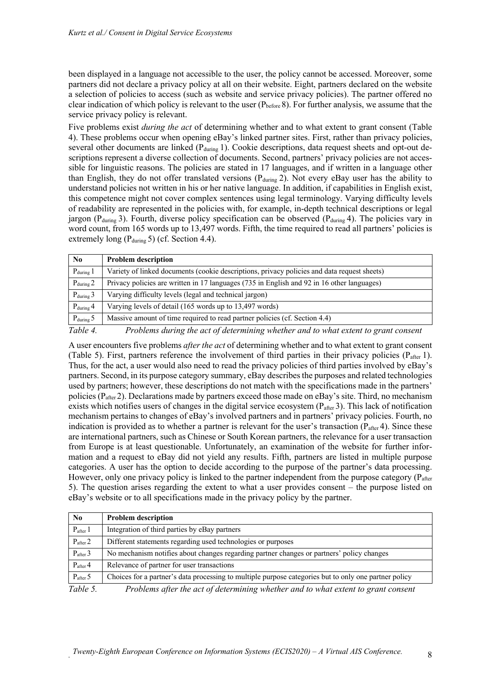been displayed in a language not accessible to the user, the policy cannot be accessed. Moreover, some partners did not declare a privacy policy at all on their website. Eight, partners declared on the website a selection of policies to access (such as website and service privacy policies). The partner offered no clear indication of which policy is relevant to the user  $(P_{before} 8)$ . For further analysis, we assume that the service privacy policy is relevant.

Five problems exist *during the act* of determining whether and to what extent to grant consent (Table 4). These problems occur when opening eBay's linked partner sites. First, rather than privacy policies, several other documents are linked  $(P_{\text{during}} 1)$ . Cookie descriptions, data request sheets and opt-out descriptions represent a diverse collection of documents. Second, partners' privacy policies are not accessible for linguistic reasons. The policies are stated in 17 languages, and if written in a language other than English, they do not offer translated versions ( $P_{\text{during}}$ ). Not every eBay user has the ability to understand policies not written in his or her native language. In addition, if capabilities in English exist, this competence might not cover complex sentences using legal terminology. Varying difficulty levels of readability are represented in the policies with, for example, in-depth technical descriptions or legal jargon (P<sub>during</sub> 3). Fourth, diverse policy specification can be observed (P<sub>during</sub> 4). The policies vary in word count, from 165 words up to 13,497 words. Fifth, the time required to read all partners' policies is extremely long ( $P_{\text{during}}$  5) (cf. Section 4.4).

| No.                   | <b>Problem description</b>                                                                  |
|-----------------------|---------------------------------------------------------------------------------------------|
| $P_{\text{during}}$ 1 | Variety of linked documents (cookie descriptions, privacy policies and data request sheets) |
| $P_{\text{during}} 2$ | Privacy policies are written in 17 languages (735 in English and 92 in 16 other languages)  |
| $P_{\text{during}}$ 3 | Varying difficulty levels (legal and technical jargon)                                      |
| $P_{\text{during}}$ 4 | Varying levels of detail (165 words up to 13,497 words)                                     |
| $P_{\text{during}}$ 5 | Massive amount of time required to read partner policies (cf. Section 4.4)                  |
| $T$ 11 $\pm$          | n 11 1 · 1 · 11 · 11 1 1 1 · 1 · 1                                                          |

*Table 4. Problems during the act of determining whether and to what extent to grant consent*

A user encounters five problems *after the act* of determining whether and to what extent to grant consent (Table 5). First, partners reference the involvement of third parties in their privacy policies ( $P_{after}$  1). Thus, for the act, a user would also need to read the privacy policies of third parties involved by eBay's partners. Second, in its purpose category summary, eBay describes the purposes and related technologies used by partners; however, these descriptions do not match with the specifications made in the partners' policies ( $P_{\text{after}}$ 2). Declarations made by partners exceed those made on eBay's site. Third, no mechanism exists which notifies users of changes in the digital service ecosystem  $(P_{\text{after}} 3)$ . This lack of notification mechanism pertains to changes of eBay's involved partners and in partners' privacy policies. Fourth, no indication is provided as to whether a partner is relevant for the user's transaction ( $P_{\text{after}}$ 4). Since these are international partners, such as Chinese or South Korean partners, the relevance for a user transaction from Europe is at least questionable. Unfortunately, an examination of the website for further information and a request to eBay did not yield any results. Fifth, partners are listed in multiple purpose categories. A user has the option to decide according to the purpose of the partner's data processing. However, only one privacy policy is linked to the partner independent from the purpose category ( $P_{\text{after}}$ 5). The question arises regarding the extent to what a user provides consent – the purpose listed on eBay's website or to all specifications made in the privacy policy by the partner.

| N <sub>0</sub>           | <b>Problem description</b>                                                                                                  |
|--------------------------|-----------------------------------------------------------------------------------------------------------------------------|
| $P_{after}$ 1            | Integration of third parties by eBay partners                                                                               |
| $P_{after}$ 2            | Different statements regarding used technologies or purposes                                                                |
| $P_{after}$ 3            | No mechanism notifies about changes regarding partner changes or partners' policy changes                                   |
| $P_{after}$ 4            | Relevance of partner for user transactions                                                                                  |
| $P_{after}$ 5            | Choices for a partner's data processing to multiple purpose categories but to only one partner policy                       |
| $T_{\alpha}L1_{\alpha}F$ | $D_{\alpha\beta}l$ , later a subset of definition of the substantial contact the subset of a subset of a subset of $\alpha$ |

*Table 5. Problems after the act of determining whether and to what extent to grant consent*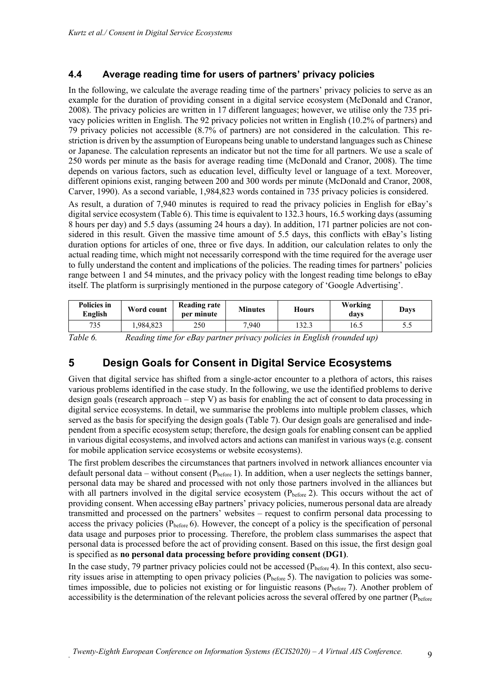#### **4.4 Average reading time for users of partners' privacy policies**

In the following, we calculate the average reading time of the partners' privacy policies to serve as an example for the duration of providing consent in a digital service ecosystem (McDonald and Cranor, 2008). The privacy policies are written in 17 different languages; however, we utilise only the 735 privacy policies written in English. The 92 privacy policies not written in English (10.2% of partners) and 79 privacy policies not accessible (8.7% of partners) are not considered in the calculation. This restriction is driven by the assumption of Europeans being unable to understand languages such as Chinese or Japanese. The calculation represents an indicator but not the time for all partners. We use a scale of 250 words per minute as the basis for average reading time (McDonald and Cranor, 2008). The time depends on various factors, such as education level, difficulty level or language of a text. Moreover, different opinions exist, ranging between 200 and 300 words per minute (McDonald and Cranor, 2008, Carver, 1990). As a second variable, 1,984,823 words contained in 735 privacy policies is considered.

As result, a duration of 7,940 minutes is required to read the privacy policies in English for eBay's digital service ecosystem (Table 6). This time is equivalent to 132.3 hours, 16.5 working days (assuming 8 hours per day) and 5.5 days (assuming 24 hours a day). In addition, 171 partner policies are not considered in this result. Given the massive time amount of 5.5 days, this conflicts with eBay's listing duration options for articles of one, three or five days. In addition, our calculation relates to only the actual reading time, which might not necessarily correspond with the time required for the average user to fully understand the content and implications of the policies. The reading times for partners' policies range between 1 and 54 minutes, and the privacy policy with the longest reading time belongs to eBay itself. The platform is surprisingly mentioned in the purpose category of 'Google Advertising'.

| <b>Policies in</b><br>English                                                     | Word count | <b>Reading rate</b><br>per minute | <b>Minutes</b> | <b>Hours</b> | Working<br>davs | Days |
|-----------------------------------------------------------------------------------|------------|-----------------------------------|----------------|--------------|-----------------|------|
| 735                                                                               | 984,823.   | 250                               | 7.940          | 132.3        | 16.5            |      |
| Table 6<br>Reading time for eRay partner privacy policies in English (rounded up) |            |                                   |                |              |                 |      |

*Table 6. Reading time for eBay partner privacy policies in English (rounded up)*

## **5 Design Goals for Consent in Digital Service Ecosystems**

Given that digital service has shifted from a single-actor encounter to a plethora of actors, this raises various problems identified in the case study. In the following, we use the identified problems to derive design goals (research approach – step V) as basis for enabling the act of consent to data processing in digital service ecosystems. In detail, we summarise the problems into multiple problem classes, which served as the basis for specifying the design goals (Table 7). Our design goals are generalised and independent from a specific ecosystem setup; therefore, the design goals for enabling consent can be applied in various digital ecosystems, and involved actors and actions can manifest in various ways (e.g. consent for mobile application service ecosystems or website ecosystems).

The first problem describes the circumstances that partners involved in network alliances encounter via default personal data – without consent  $(P_{before} 1)$ . In addition, when a user neglects the settings banner, personal data may be shared and processed with not only those partners involved in the alliances but with all partners involved in the digital service ecosystem  $(P_{before} 2)$ . This occurs without the act of providing consent. When accessing eBay partners' privacy policies, numerous personal data are already transmitted and processed on the partners' websites – request to confirm personal data processing to access the privacy policies (Pbefore 6). However, the concept of a policy is the specification of personal data usage and purposes prior to processing. Therefore, the problem class summarises the aspect that personal data is processed before the act of providing consent. Based on this issue, the first design goal is specified as **no personal data processing before providing consent (DG1)**.

In the case study, 79 partner privacy policies could not be accessed  $(P_{before} 4)$ . In this context, also security issues arise in attempting to open privacy policies (Pbefore 5). The navigation to policies was sometimes impossible, due to policies not existing or for linguistic reasons ( $P_{before}$ ). Another problem of accessibility is the determination of the relevant policies across the several offered by one partner ( $P_{before}$ )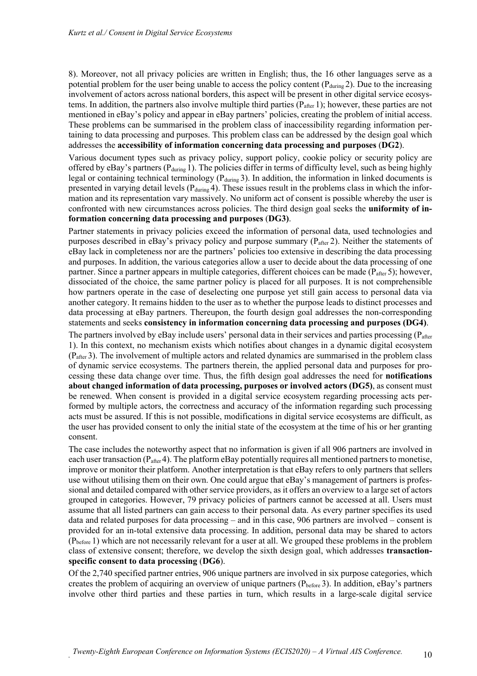8). Moreover, not all privacy policies are written in English; thus, the 16 other languages serve as a potential problem for the user being unable to access the policy content ( $P_{\text{during}}$ 2). Due to the increasing involvement of actors across national borders, this aspect will be present in other digital service ecosystems. In addition, the partners also involve multiple third parties ( $P_{after}$  1); however, these parties are not mentioned in eBay's policy and appear in eBay partners' policies, creating the problem of initial access. These problems can be summarised in the problem class of inaccessibility regarding information pertaining to data processing and purposes. This problem class can be addressed by the design goal which addresses the **accessibility of information concerning data processing and purposes** (**DG2**).

Various document types such as privacy policy, support policy, cookie policy or security policy are offered by eBay's partners ( $P_{\text{during}}$  1). The policies differ in terms of difficulty level, such as being highly legal or containing technical terminology ( $P_{\text{during}}$ 3). In addition, the information in linked documents is presented in varying detail levels ( $P_{\text{during}}$ 4). These issues result in the problems class in which the information and its representation vary massively. No uniform act of consent is possible whereby the user is confronted with new circumstances across policies. The third design goal seeks the **uniformity of information concerning data processing and purposes** (**DG3)**.

Partner statements in privacy policies exceed the information of personal data, used technologies and purposes described in eBay's privacy policy and purpose summary (P<sub>after</sub> 2). Neither the statements of eBay lack in completeness nor are the partners' policies too extensive in describing the data processing and purposes. In addition, the various categories allow a user to decide about the data processing of one partner. Since a partner appears in multiple categories, different choices can be made ( $P_{\text{after}}$ 5); however, dissociated of the choice, the same partner policy is placed for all purposes. It is not comprehensible how partners operate in the case of deselecting one purpose yet still gain access to personal data via another category. It remains hidden to the user as to whether the purpose leads to distinct processes and data processing at eBay partners. Thereupon, the fourth design goal addresses the non-corresponding statements and seeks **consistency in information concerning data processing and purposes (DG4)**.

The partners involved by eBay include users' personal data in their services and parties processing ( $P_{after}$ 1). In this context, no mechanism exists which notifies about changes in a dynamic digital ecosystem (Pafter 3). The involvement of multiple actors and related dynamics are summarised in the problem class of dynamic service ecosystems. The partners therein, the applied personal data and purposes for processing these data change over time. Thus, the fifth design goal addresses the need for **notifications about changed information of data processing, purposes or involved actors (DG5)**, as consent must be renewed. When consent is provided in a digital service ecosystem regarding processing acts performed by multiple actors, the correctness and accuracy of the information regarding such processing acts must be assured. If this is not possible, modifications in digital service ecosystems are difficult, as the user has provided consent to only the initial state of the ecosystem at the time of his or her granting consent.

The case includes the noteworthy aspect that no information is given if all 906 partners are involved in each user transaction ( $P_{\text{after}}$ 4). The platform eBay potentially requires all mentioned partners to monetise, improve or monitor their platform. Another interpretation is that eBay refers to only partners that sellers use without utilising them on their own. One could argue that eBay's management of partners is professional and detailed compared with other service providers, as it offers an overview to a large set of actors grouped in categories. However, 79 privacy policies of partners cannot be accessed at all. Users must assume that all listed partners can gain access to their personal data. As every partner specifies its used data and related purposes for data processing – and in this case, 906 partners are involved – consent is provided for an in-total extensive data processing. In addition, personal data may be shared to actors  $(P_{before} 1)$  which are not necessarily relevant for a user at all. We grouped these problems in the problem class of extensive consent; therefore, we develop the sixth design goal, which addresses **transactionspecific consent to data processing** (**DG6**).

Of the 2,740 specified partner entries, 906 unique partners are involved in six purpose categories, which creates the problem of acquiring an overview of unique partners (Pbefore 3). In addition, eBay's partners involve other third parties and these parties in turn, which results in a large-scale digital service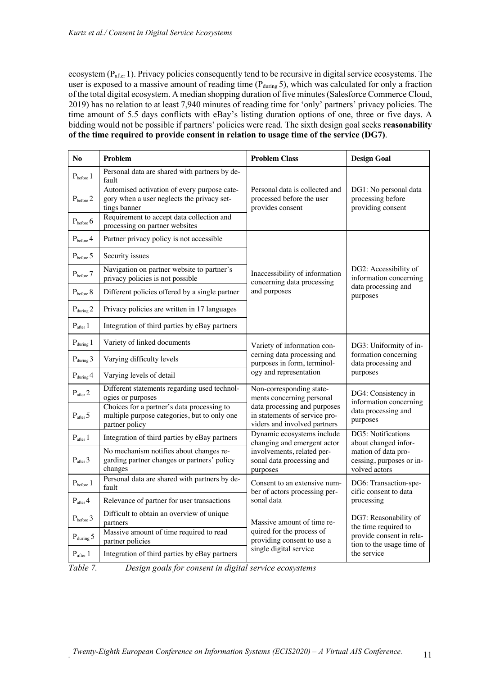ecosystem (P<sub>after</sub> 1). Privacy policies consequently tend to be recursive in digital service ecosystems. The user is exposed to a massive amount of reading time  $(P_{\text{during}} 5)$ , which was calculated for only a fraction of the total digital ecosystem. A median shopping duration of five minutes (Salesforce Commerce Cloud, 2019) has no relation to at least 7,940 minutes of reading time for 'only' partners' privacy policies. The time amount of 5.5 days conflicts with eBay's listing duration options of one, three or five days. A bidding would not be possible if partners' policies were read. The sixth design goal seeks **reasonability of the time required to provide consent in relation to usage time of the service (DG7)**.

| N <sub>o</sub>                 | Problem                                                                                                      | <b>Problem Class</b>                                                                          | <b>Design Goal</b>                                                                                             |  |
|--------------------------------|--------------------------------------------------------------------------------------------------------------|-----------------------------------------------------------------------------------------------|----------------------------------------------------------------------------------------------------------------|--|
| $P_{before}$ $1$               | Personal data are shared with partners by de-<br>fault                                                       |                                                                                               |                                                                                                                |  |
| $P_{before}$ 2                 | Automised activation of every purpose cate-<br>gory when a user neglects the privacy set-<br>tings banner    | Personal data is collected and<br>processed before the user<br>provides consent               | DG1: No personal data<br>processing before<br>providing consent                                                |  |
| $P_{before}$ 6                 | Requirement to accept data collection and<br>processing on partner websites                                  |                                                                                               |                                                                                                                |  |
| $P_{before}$ 4                 | Partner privacy policy is not accessible                                                                     |                                                                                               |                                                                                                                |  |
| $P_{before}$ 5                 | Security issues                                                                                              |                                                                                               |                                                                                                                |  |
| $\mathbf{P}_{\text{before}}$ 7 | Navigation on partner website to partner's<br>privacy policies is not possible                               | Inaccessibility of information<br>concerning data processing                                  | DG2: Accessibility of<br>information concerning<br>data processing and<br>purposes                             |  |
| $P_{before}$ $8$               | Different policies offered by a single partner                                                               | and purposes                                                                                  |                                                                                                                |  |
| $P_{\text{during}}$ 2          | Privacy policies are written in 17 languages                                                                 |                                                                                               |                                                                                                                |  |
| $P_{after}$ 1                  | Integration of third parties by eBay partners                                                                |                                                                                               |                                                                                                                |  |
| $P_{\text{during}}$ 1          | Variety of linked documents                                                                                  | Variety of information con-                                                                   | DG3: Uniformity of in-<br>formation concerning<br>data processing and                                          |  |
| $P_{\text{during}}$ 3          | Varying difficulty levels                                                                                    | cerning data processing and<br>purposes in form, terminol-                                    |                                                                                                                |  |
| $P_{\text{during}} 4$          | Varying levels of detail                                                                                     | ogy and representation                                                                        | purposes                                                                                                       |  |
| $P_{after}$ 2                  | Different statements regarding used technol-<br>ogies or purposes                                            | Non-corresponding state-<br>ments concerning personal                                         | DG4: Consistency in                                                                                            |  |
| $P_{after}$ 5                  | Choices for a partner's data processing to<br>multiple purpose categories, but to only one<br>partner policy | data processing and purposes<br>in statements of service pro-<br>viders and involved partners | information concerning<br>data processing and<br>purposes                                                      |  |
| $P_{after}$ 1                  | Integration of third parties by eBay partners                                                                | Dynamic ecosystems include<br>changing and emergent actor                                     | DG5: Notifications<br>about changed infor-<br>mation of data pro-<br>cessing, purposes or in-<br>volved actors |  |
| $P_{after}$ 3                  | No mechanism notifies about changes re-<br>garding partner changes or partners' policy<br>changes            | involvements, related per-<br>sonal data processing and<br>purposes                           |                                                                                                                |  |
| $P_{before}$ $1$               | Personal data are shared with partners by de-<br>fault                                                       | Consent to an extensive num-<br>ber of actors processing per-                                 | DG6: Transaction-spe-<br>cific consent to data                                                                 |  |
| $P_{after}$ 4                  | Relevance of partner for user transactions                                                                   | sonal data                                                                                    | processing                                                                                                     |  |
| $\rm P_{before}$ 3             | Difficult to obtain an overview of unique<br>partners                                                        | Massive amount of time re-                                                                    | DG7: Reasonability of<br>the time required to<br>provide consent in rela-<br>tion to the usage time of         |  |
| $P_{\text{during}}$ 5          | Massive amount of time required to read<br>partner policies                                                  | quired for the process of<br>providing consent to use a                                       |                                                                                                                |  |
| $P_{after}$ 1                  | Integration of third parties by eBay partners                                                                | single digital service                                                                        | the service                                                                                                    |  |

*Table 7. Design goals for consent in digital service ecosystems*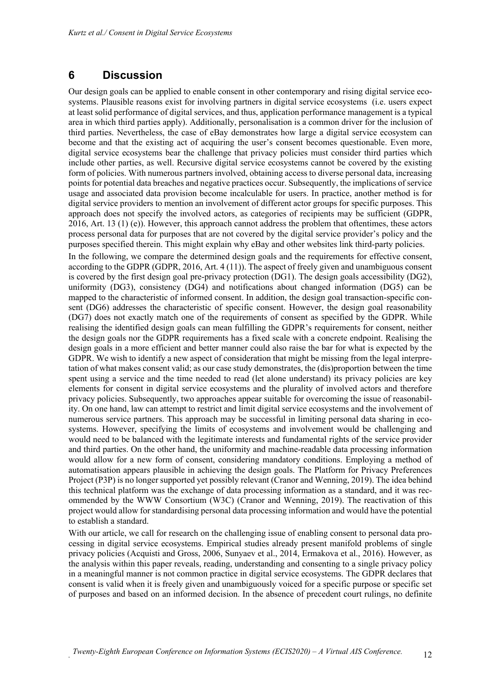## **6 Discussion**

Our design goals can be applied to enable consent in other contemporary and rising digital service ecosystems. Plausible reasons exist for involving partners in digital service ecosystems (i.e. users expect at least solid performance of digital services, and thus, application performance management is a typical area in which third parties apply). Additionally, personalisation is a common driver for the inclusion of third parties. Nevertheless, the case of eBay demonstrates how large a digital service ecosystem can become and that the existing act of acquiring the user's consent becomes questionable. Even more, digital service ecosystems bear the challenge that privacy policies must consider third parties which include other parties, as well. Recursive digital service ecosystems cannot be covered by the existing form of policies. With numerous partners involved, obtaining access to diverse personal data, increasing points for potential data breaches and negative practices occur. Subsequently, the implications of service usage and associated data provision become incalculable for users. In practice, another method is for digital service providers to mention an involvement of different actor groups for specific purposes. This approach does not specify the involved actors, as categories of recipients may be sufficient (GDPR, 2016, Art. 13 (1) (e)). However, this approach cannot address the problem that oftentimes, these actors process personal data for purposes that are not covered by the digital service provider's policy and the purposes specified therein. This might explain why eBay and other websites link third-party policies.

In the following, we compare the determined design goals and the requirements for effective consent, according to the GDPR (GDPR, 2016, Art. 4 (11)). The aspect of freely given and unambiguous consent is covered by the first design goal pre-privacy protection (DG1). The design goals accessibility (DG2), uniformity (DG3), consistency (DG4) and notifications about changed information (DG5) can be mapped to the characteristic of informed consent. In addition, the design goal transaction-specific consent (DG6) addresses the characteristic of specific consent. However, the design goal reasonability (DG7) does not exactly match one of the requirements of consent as specified by the GDPR. While realising the identified design goals can mean fulfilling the GDPR's requirements for consent, neither the design goals nor the GDPR requirements has a fixed scale with a concrete endpoint. Realising the design goals in a more efficient and better manner could also raise the bar for what is expected by the GDPR. We wish to identify a new aspect of consideration that might be missing from the legal interpretation of what makes consent valid; as our case study demonstrates, the (dis)proportion between the time spent using a service and the time needed to read (let alone understand) its privacy policies are key elements for consent in digital service ecosystems and the plurality of involved actors and therefore privacy policies. Subsequently, two approaches appear suitable for overcoming the issue of reasonability. On one hand, law can attempt to restrict and limit digital service ecosystems and the involvement of numerous service partners. This approach may be successful in limiting personal data sharing in ecosystems. However, specifying the limits of ecosystems and involvement would be challenging and would need to be balanced with the legitimate interests and fundamental rights of the service provider and third parties. On the other hand, the uniformity and machine-readable data processing information would allow for a new form of consent, considering mandatory conditions. Employing a method of automatisation appears plausible in achieving the design goals. The Platform for Privacy Preferences Project (P3P) is no longer supported yet possibly relevant (Cranor and Wenning, 2019). The idea behind this technical platform was the exchange of data processing information as a standard, and it was recommended by the WWW Consortium (W3C) (Cranor and Wenning, 2019). The reactivation of this project would allow for standardising personal data processing information and would have the potential to establish a standard.

With our article, we call for research on the challenging issue of enabling consent to personal data processing in digital service ecosystems. Empirical studies already present manifold problems of single privacy policies (Acquisti and Gross, 2006, Sunyaev et al., 2014, Ermakova et al., 2016). However, as the analysis within this paper reveals, reading, understanding and consenting to a single privacy policy in a meaningful manner is not common practice in digital service ecosystems. The GDPR declares that consent is valid when it is freely given and unambiguously voiced for a specific purpose or specific set of purposes and based on an informed decision. In the absence of precedent court rulings, no definite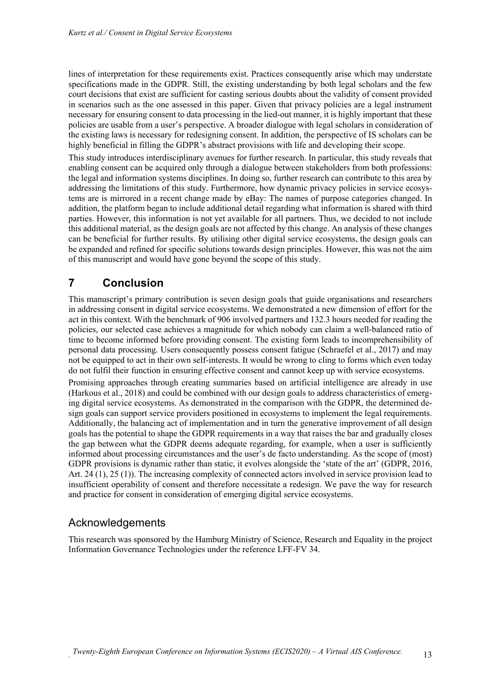lines of interpretation for these requirements exist. Practices consequently arise which may understate specifications made in the GDPR. Still, the existing understanding by both legal scholars and the few court decisions that exist are sufficient for casting serious doubts about the validity of consent provided in scenarios such as the one assessed in this paper. Given that privacy policies are a legal instrument necessary for ensuring consent to data processing in the lied-out manner, it is highly important that these policies are usable from a user's perspective. A broader dialogue with legal scholars in consideration of the existing laws is necessary for redesigning consent. In addition, the perspective of IS scholars can be highly beneficial in filling the GDPR's abstract provisions with life and developing their scope.

This study introduces interdisciplinary avenues for further research. In particular, this study reveals that enabling consent can be acquired only through a dialogue between stakeholders from both professions: the legal and information systems disciplines. In doing so, further research can contribute to this area by addressing the limitations of this study. Furthermore, how dynamic privacy policies in service ecosystems are is mirrored in a recent change made by eBay: The names of purpose categories changed. In addition, the platform began to include additional detail regarding what information is shared with third parties. However, this information is not yet available for all partners. Thus, we decided to not include this additional material, as the design goals are not affected by this change. An analysis of these changes can be beneficial for further results. By utilising other digital service ecosystems, the design goals can be expanded and refined for specific solutions towards design principles. However, this was not the aim of this manuscript and would have gone beyond the scope of this study.

# **7 Conclusion**

This manuscript's primary contribution is seven design goals that guide organisations and researchers in addressing consent in digital service ecosystems. We demonstrated a new dimension of effort for the act in this context. With the benchmark of 906 involved partners and 132.3 hours needed for reading the policies, our selected case achieves a magnitude for which nobody can claim a well-balanced ratio of time to become informed before providing consent. The existing form leads to incomprehensibility of personal data processing. Users consequently possess consent fatigue (Schraefel et al., 2017) and may not be equipped to act in their own self-interests. It would be wrong to cling to forms which even today do not fulfil their function in ensuring effective consent and cannot keep up with service ecosystems.

Promising approaches through creating summaries based on artificial intelligence are already in use (Harkous et al., 2018) and could be combined with our design goals to address characteristics of emerging digital service ecosystems. As demonstrated in the comparison with the GDPR, the determined design goals can support service providers positioned in ecosystems to implement the legal requirements. Additionally, the balancing act of implementation and in turn the generative improvement of all design goals has the potential to shape the GDPR requirements in a way that raises the bar and gradually closes the gap between what the GDPR deems adequate regarding, for example, when a user is sufficiently informed about processing circumstances and the user's de facto understanding. As the scope of (most) GDPR provisions is dynamic rather than static, it evolves alongside the 'state of the art' (GDPR, 2016, Art. 24 (1), 25 (1)). The increasing complexity of connected actors involved in service provision lead to insufficient operability of consent and therefore necessitate a redesign. We pave the way for research and practice for consent in consideration of emerging digital service ecosystems.

## Acknowledgements

This research was sponsored by the Hamburg Ministry of Science, Research and Equality in the project Information Governance Technologies under the reference LFF-FV 34.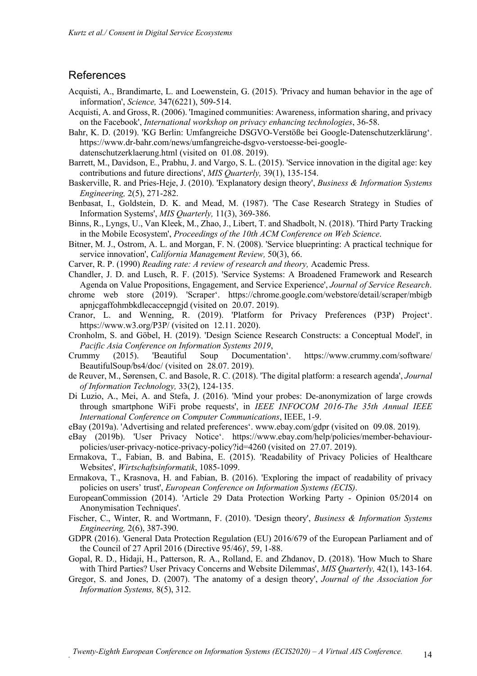#### References

- Acquisti, A., Brandimarte, L. and Loewenstein, G. (2015). 'Privacy and human behavior in the age of information', *Science,* 347(6221), 509-514.
- Acquisti, A. and Gross, R. (2006). 'Imagined communities: Awareness, information sharing, and privacy on the Facebook', *International workshop on privacy enhancing technologies*, 36-58.
- Bahr, K. D. (2019). 'KG Berlin: Umfangreiche DSGVO-Verstöße bei Google-Datenschutzerklärung'. https://www.dr-bahr.com/news/umfangreiche-dsgvo-verstoesse-bei-googledatenschutzerklaerung.html (visited on 01.08. 2019).
- Barrett, M., Davidson, E., Prabhu, J. and Vargo, S. L. (2015). 'Service innovation in the digital age: key contributions and future directions', *MIS Quarterly,* 39(1), 135-154.
- Baskerville, R. and Pries-Heje, J. (2010). 'Explanatory design theory', *Business & Information Systems Engineering,* 2(5), 271-282.
- Benbasat, I., Goldstein, D. K. and Mead, M. (1987). 'The Case Research Strategy in Studies of Information Systems', *MIS Quarterly,* 11(3), 369-386.
- Binns, R., Lyngs, U., Van Kleek, M., Zhao, J., Libert, T. and Shadbolt, N. (2018). 'Third Party Tracking in the Mobile Ecosystem', *Proceedings of the 10th ACM Conference on Web Science*.
- Bitner, M. J., Ostrom, A. L. and Morgan, F. N. (2008). 'Service blueprinting: A practical technique for service innovation', *California Management Review,* 50(3), 66.
- Carver, R. P. (1990) *Reading rate: A review of research and theory,* Academic Press.
- Chandler, J. D. and Lusch, R. F. (2015). 'Service Systems: A Broadened Framework and Research Agenda on Value Propositions, Engagement, and Service Experience', *Journal of Service Research*.
- chrome web store (2019). 'Scraper'. https://chrome.google.com/webstore/detail/scraper/mbigb apnjcgaffohmbkdlecaccepngjd (visited on 20.07. 2019).
- Cranor, L. and Wenning, R. (2019). 'Platform for Privacy Preferences (P3P) Project'. https://www.w3.org/P3P/ (visited on 12.11. 2020).
- Cronholm, S. and Göbel, H. (2019). 'Design Science Research Constructs: a Conceptual Model', in *Pacific Asia Conference on Information Systems 2019*,
- Crummy (2015). 'Beautiful Soup Documentation'. https://www.crummy.com/software/ BeautifulSoup/bs4/doc/ (visited on 28.07. 2019).
- de Reuver, M., Sørensen, C. and Basole, R. C. (2018). 'The digital platform: a research agenda', *Journal of Information Technology,* 33(2), 124-135.
- Di Luzio, A., Mei, A. and Stefa, J. (2016). 'Mind your probes: De-anonymization of large crowds through smartphone WiFi probe requests', in *IEEE INFOCOM 2016-The 35th Annual IEEE International Conference on Computer Communications*, IEEE, 1-9.
- eBay (2019a). 'Advertising and related preferences'. www.ebay.com/gdpr (visited on 09.08. 2019).
- eBay (2019b). 'User Privacy Notice'. https://www.ebay.com/help/policies/member-behaviourpolicies/user-privacy-notice-privacy-policy?id=4260 (visited on 27.07. 2019).
- Ermakova, T., Fabian, B. and Babina, E. (2015). 'Readability of Privacy Policies of Healthcare Websites', *Wirtschaftsinformatik*, 1085-1099.
- Ermakova, T., Krasnova, H. and Fabian, B. (2016). 'Exploring the impact of readability of privacy policies on users' trust', *European Conference on Information Systems (ECIS)*.
- EuropeanCommission (2014). 'Article 29 Data Protection Working Party Opinion 05/2014 on Anonymisation Techniques'.
- Fischer, C., Winter, R. and Wortmann, F. (2010). 'Design theory', *Business & Information Systems Engineering,* 2(6), 387-390.
- GDPR (2016). 'General Data Protection Regulation (EU) 2016/679 of the European Parliament and of the Council of 27 April 2016 (Directive 95/46)', 59, 1-88.
- Gopal, R. D., Hidaji, H., Patterson, R. A., Rolland, E. and Zhdanov, D. (2018). 'How Much to Share with Third Parties? User Privacy Concerns and Website Dilemmas', *MIS Quarterly,* 42(1), 143-164.
- Gregor, S. and Jones, D. (2007). 'The anatomy of a design theory', *Journal of the Association for Information Systems,* 8(5), 312.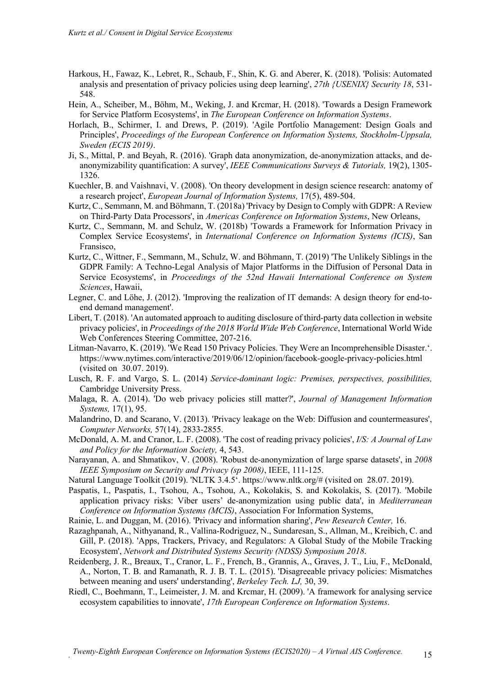- Harkous, H., Fawaz, K., Lebret, R., Schaub, F., Shin, K. G. and Aberer, K. (2018). 'Polisis: Automated analysis and presentation of privacy policies using deep learning', *27th {USENIX} Security 18*, 531- 548.
- Hein, A., Scheiber, M., Böhm, M., Weking, J. and Krcmar, H. (2018). 'Towards a Design Framework for Service Platform Ecosystems', in *The European Conference on Information Systems*.
- Horlach, B., Schirmer, I. and Drews, P. (2019). 'Agile Portfolio Management: Design Goals and Principles', *Proceedings of the European Conference on Information Systems, Stockholm-Uppsala, Sweden (ECIS 2019)*.
- Ji, S., Mittal, P. and Beyah, R. (2016). 'Graph data anonymization, de-anonymization attacks, and deanonymizability quantification: A survey', *IEEE Communications Surveys & Tutorials,* 19(2), 1305- 1326.
- Kuechler, B. and Vaishnavi, V. (2008). 'On theory development in design science research: anatomy of a research project', *European Journal of Information Systems,* 17(5), 489-504.
- Kurtz, C., Semmann, M. and Böhmann, T. (2018a) 'Privacy by Design to Comply with GDPR: A Review on Third-Party Data Processors', in *Americas Conference on Information Systems*, New Orleans,
- Kurtz, C., Semmann, M. and Schulz, W. (2018b) 'Towards a Framework for Information Privacy in Complex Service Ecosystems', in *International Conference on Information Systems (ICIS)*, San Fransisco,
- Kurtz, C., Wittner, F., Semmann, M., Schulz, W. and Böhmann, T. (2019) 'The Unlikely Siblings in the GDPR Family: A Techno-Legal Analysis of Major Platforms in the Diffusion of Personal Data in Service Ecosystems', in *Proceedings of the 52nd Hawaii International Conference on System Sciences*, Hawaii,
- Legner, C. and Löhe, J. (2012). 'Improving the realization of IT demands: A design theory for end-toend demand management'.
- Libert, T. (2018). 'An automated approach to auditing disclosure of third-party data collection in website privacy policies', in *Proceedings of the 2018 World Wide Web Conference*, International World Wide Web Conferences Steering Committee, 207-216.
- Litman-Navarro, K. (2019). 'We Read 150 Privacy Policies. They Were an Incomprehensible Disaster.'. https://www.nytimes.com/interactive/2019/06/12/opinion/facebook-google-privacy-policies.html (visited on 30.07. 2019).
- Lusch, R. F. and Vargo, S. L. (2014) *Service-dominant logic: Premises, perspectives, possibilities,* Cambridge University Press.
- Malaga, R. A. (2014). 'Do web privacy policies still matter?', *Journal of Management Information Systems,* 17(1), 95.
- Malandrino, D. and Scarano, V. (2013). 'Privacy leakage on the Web: Diffusion and countermeasures', *Computer Networks,* 57(14), 2833-2855.
- McDonald, A. M. and Cranor, L. F. (2008). 'The cost of reading privacy policies', *I/S: A Journal of Law and Policy for the Information Society,* 4, 543.
- Narayanan, A. and Shmatikov, V. (2008). 'Robust de-anonymization of large sparse datasets', in *2008 IEEE Symposium on Security and Privacy (sp 2008)*, IEEE, 111-125.
- Natural Language Toolkit (2019). 'NLTK 3.4.5'. https://www.nltk.org/# (visited on 28.07. 2019).
- Paspatis, I., Paspatis, I., Tsohou, A., Tsohou, A., Kokolakis, S. and Kokolakis, S. (2017). 'Mobile application privacy risks: Viber users' de-anonymization using public data', in *Mediterranean Conference on Information Systems (MCIS)*, Association For Information Systems,
- Rainie, L. and Duggan, M. (2016). 'Privacy and information sharing', *Pew Research Center,* 16.
- Razaghpanah, A., Nithyanand, R., Vallina-Rodriguez, N., Sundaresan, S., Allman, M., Kreibich, C. and Gill, P. (2018). 'Apps, Trackers, Privacy, and Regulators: A Global Study of the Mobile Tracking Ecosystem', *Network and Distributed Systems Security (NDSS) Symposium 2018*.
- Reidenberg, J. R., Breaux, T., Cranor, L. F., French, B., Grannis, A., Graves, J. T., Liu, F., McDonald, A., Norton, T. B. and Ramanath, R. J. B. T. L. (2015). 'Disagreeable privacy policies: Mismatches between meaning and users' understanding', *Berkeley Tech. LJ,* 30, 39.
- Riedl, C., Boehmann, T., Leimeister, J. M. and Krcmar, H. (2009). 'A framework for analysing service ecosystem capabilities to innovate', *17th European Conference on Information Systems*.